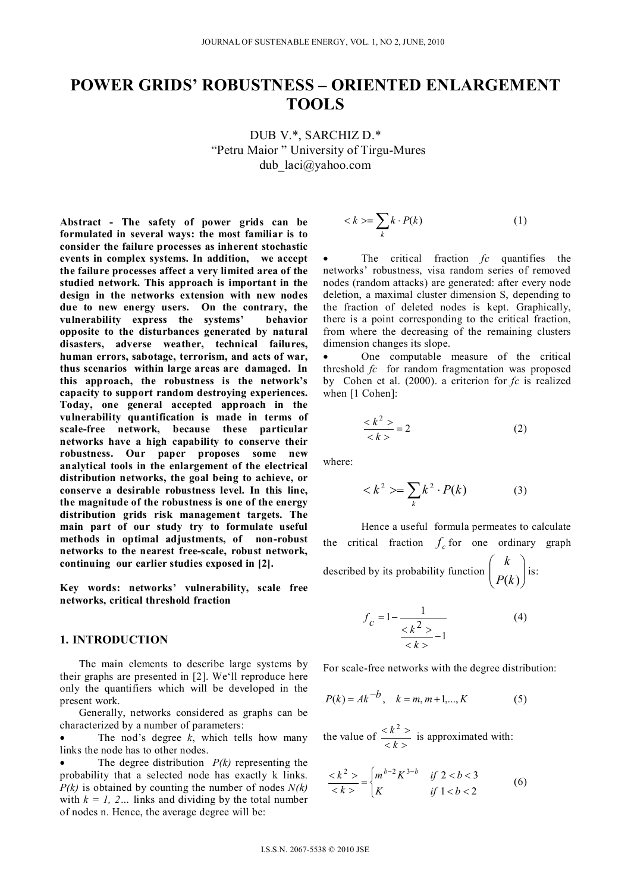# **POWER GRIDS' ROBUSTNESS – ORIENTED ENLARGEMENT TOOLS**

DUB V.\*, SARCHIZ D.\* "Petru Maior " University of Tirgu-Mures dub\_laci@yahoo.com

**Abstract - The safety of power grids can be formulated in several ways: the most familiar is to consider the failure processes as inherent stochastic events in complex systems. In addition, we accept the failure processes affect a very limited area of the studied network. This approach is important in the design in the networks extension with new nodes due to new energy users. On the contrary, the vulnerability express the systems' behavior opposite to the disturbances generated by natural disasters, adverse weather, technical failures, human errors, sabotage, terrorism, and acts of war, thus scenarios within large areas are damaged. In this approach, the robustness is the network's capacity to support random destroying experiences. Today, one general accepted approach in the vulnerability quantification is made in terms of scale-free network, because these particular networks have a high capability to conserve their robustness. Our paper proposes some new analytical tools in the enlargement of the electrical distribution networks, the goal being to achieve, or conserve a desirable robustness level. In this line, the magnitude of the robustness is one of the energy distribution grids risk management targets. The main part of our study try to formulate useful methods in optimal adjustments, of non-robust networks to the nearest free-scale, robust network, continuing our earlier studies exposed in [2].** 

**Key words: networks' vulnerability, scale free networks, critical threshold fraction** 

## **1. INTRODUCTION**

The main elements to describe large systems by their graphs are presented in [2]. We'll reproduce here only the quantifiers which will be developed in the present work.

Generally, networks considered as graphs can be characterized by a number of parameters:

 The nod's degree *k*, which tells how many links the node has to other nodes.

 The degree distribution *P(k)* representing the probability that a selected node has exactly k links. *P(k)* is obtained by counting the number of nodes *N(k)* with  $k = 1, 2...$  links and dividing by the total number of nodes n. Hence, the average degree will be:

$$
\langle k \rangle = \sum_{k} k \cdot P(k) \tag{1}
$$

 The critical fraction *fc* quantifies the networks' robustness, visa random series of removed nodes (random attacks) are generated: after every node deletion, a maximal cluster dimension S, depending to the fraction of deleted nodes is kept. Graphically, there is a point corresponding to the critical fraction, from where the decreasing of the remaining clusters dimension changes its slope.

 One computable measure of the critical threshold *fc* for random fragmentation was proposed by Cohen et al. (2000). a criterion for *fc* is realized when [1 Cohen]:

$$
\frac{\langle k^2 \rangle}{\langle k \rangle} = 2 \tag{2}
$$

where:

$$
\langle k^2 \rangle = \sum_k k^2 \cdot P(k) \tag{3}
$$

Hence a useful formula permeates to calculate the critical fraction  $f_c$  for one ordinary graph described by its probability function  $\begin{pmatrix} a \\ P(k) \end{pmatrix}$  $\overline{\phantom{a}}$  $\left( \right)$  $\overline{\phantom{a}}$  $\overline{\phantom{a}}$  $\sqrt{ }$  $P(k)$ *k* is:

$$
f_c = 1 - \frac{1}{\frac{1}{\frac{1}{2k}} \cdot 1}
$$
 (4)

For scale-free networks with the degree distribution:

$$
P(k) = Ak^{-b}, \quad k = m, m+1, ..., K
$$
 (5)

the value of  $\frac{}$  $\langle k^2 \rangle$ *k*  $\frac{k^2}{i}$  is approximated with:

$$
\frac{}{} = \begin{cases} m^{b-2}K^{3-b} & \text{if } 2 < b < 3\\ K & \text{if } 1 < b < 2 \end{cases} \tag{6}
$$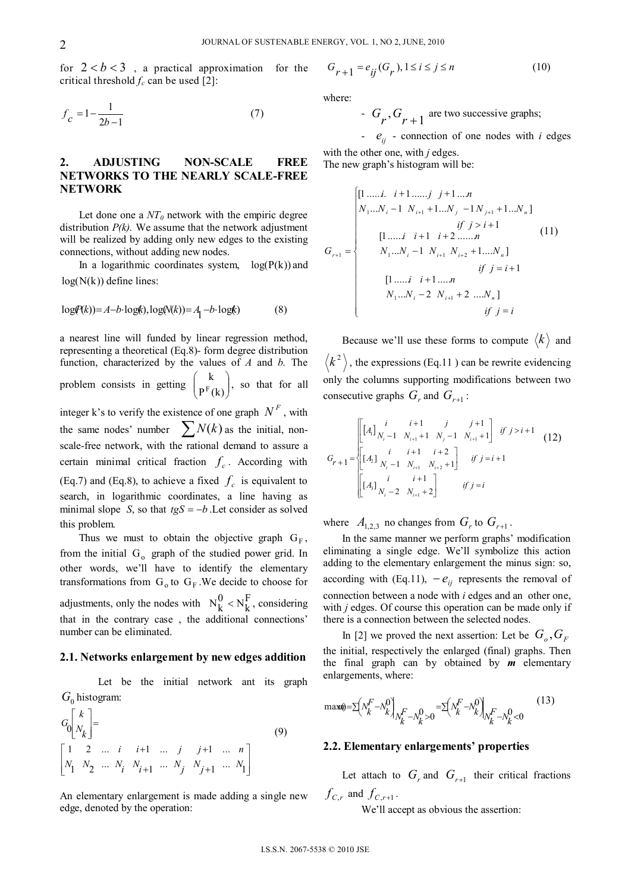for  $2 < b < 3$ , a practical approximation for the critical threshold  $f_c$  can be used [2]:

$$
f_c = 1 - \frac{1}{2b - 1} \tag{7}
$$

# **2. ADJUSTING NON-SCALE FREE NETWORKS TO THE NEARLY SCALE-FREE NETWORK**

Let done one a  $NT_0$  network with the empiric degree distribution *P(k).* We assume that the network adjustment will be realized by adding only new edges to the existing connections, without adding new nodes.

In a logarithmic coordinates system,  $log(P(k))$  and  $log(N(k))$  define lines:

$$
log(P(k)) = A - b \cdot log(k), log(N(k)) = A_1 - b \cdot log(k)
$$
 (8)

a nearest line will funded by linear regression method, representing a theoretical (Eq.8)- form degree distribution function, characterized by the values of *A* and *b*. The problem consists in getting  $\begin{pmatrix} \mathbf{n} \\ \mathbf{p}^{\mathrm{F}}(k) \end{pmatrix}$  $\bigg)$  $\left( \right)$  $\overline{\phantom{a}}$  $\overline{\phantom{0}}$ ſ  $P<sup>F</sup>(k)$  $\begin{pmatrix} k \\ F(k) \end{pmatrix}$ , so that for all integer k's to verify the existence of one graph  $N^F$ , with the same nodes' number  $\sum N(k)$  as the initial, nonscale-free network, with the rational demand to assure a

certain minimal critical fraction  $f_c$ . According with (Eq.7) and (Eq.8), to achieve a fixed  $f_c$  is equivalent to search, in logarithmic coordinates, a line having as minimal slope *S*, so that  $t gS = -b$ . Let consider as solved this problem.

Thus we must to obtain the objective graph  $G_F$ , from the initial  $G_0$  graph of the studied power grid. In other words, we'll have to identify the elementary transformations from  $G_0$  to  $G_F$ . We decide to choose for adjustments, only the nodes with  $N_k^0 \le N_k^F$ , considering that in the contrary case , the additional connections' number can be eliminated.

## **2.1. Networks enlargement by new edges addition**

 Let be the initial network ant its graph  $G_0$  histogram:

$$
G_0 \begin{bmatrix} k \\ N_k \end{bmatrix} = \tag{9}
$$
  
\n
$$
\begin{bmatrix} 1 & 2 & \dots & i & i+1 & \dots & j & j+1 & \dots & n \\ N_1 & N_2 & \dots & N_i & N_{i+1} & \dots & N_j & N_{j+1} & \dots & N_1 \end{bmatrix}
$$

An elementary enlargement is made adding a single new edge, denoted by the operation:

$$
G_{r+1} = e_{ij}(G_r), 1 \le i \le j \le n \tag{10}
$$

where:

- 
$$
G_r
$$
,  $G_{r+1}$  are two successive graphs;

-  $e_{ii}$  - connection of one nodes with *i* edges with the other one, with *j* edges.

The new graph's histogram will be:

$$
G_{r+1} = \begin{cases} [1 \dots i. \quad i+1 \dots j \quad j+1 \dots n \\ N_1 \dots N_i - 1 \quad N_{i+1} + 1 \dots N_j \quad -1 \quad N_{j+1} + 1 \dots N_n] \\ & \quad \text{if} \quad j > i+1 \\ & \quad [1 \dots i \quad i+1 \quad i+2 \dots n \quad I \\ & \quad \text{if} \quad j = i+1 \\ & \quad [1 \dots i \quad i+1 \dots n \quad I \\ & \quad \text{if} \quad j = i+1 \\ & \quad \text{if} \quad N_1 \dots N_i - 2 \quad N_{i+1} + 2 \quad \dots N_n] \\ & \quad \text{if} \quad j = i \\ & \quad \text{if} \quad j = i \end{cases} \tag{11}
$$

Because we'll use these forms to compute  $\langle k \rangle$  and  $\langle k^2 \rangle$ , the expressions (Eq.11) can be rewrite evidencing only the columns supporting modifications between two consecutive graphs  $G_r$  and  $G_{r+1}$ :

$$
G_{r+1} = \begin{bmatrix} \begin{bmatrix} i & i+1 & j & j+1 \\ \begin{bmatrix} A_i \end{bmatrix}_{N_i-1} & N_{i+1}+1 & N_j-1 & N_{i+1}+1 \end{bmatrix} & if j > i+1 \\ \begin{bmatrix} I_{2} & i & i+1 & i+2 \\ \begin{bmatrix} I_{2} & N_i-1 & N_{i+1} & N_{i+2}+1 \end{bmatrix} & if j = i+1 \\ \begin{bmatrix} i & i+1 \\ \begin{bmatrix} A_i \end{bmatrix}_{N_i-2} & N_{i+1}+2 \end{bmatrix} & if j = i \end{bmatrix}
$$

where  $A_{1,2,3}$  no changes from  $G_r$  to  $G_{r+1}$ .

In the same manner we perform graphs' modification eliminating a single edge. We'll symbolize this action adding to the elementary enlargement the minus sign: so, according with (Eq.11),  $-e_{ij}$  represents the removal of connection between a node with *i* edges and an other one, with *j* edges. Of course this operation can be made only if there is a connection between the selected nodes.

In [2] we proved the next assertion: Let be  $G_{\alpha}$ ,  $G_F$ the initial, respectively the enlarged (final) graphs. Then the final graph can by obtained by *m* elementary enlargements, where:

$$
\max \theta = \sum \left( N_k^F - N_k^0 \right)_{N_k^F - N_k^0 > 0} = \sum \left( N_k^F - N_k^0 \right)_{N_k^F - N_k^0 < 0} \tag{13}
$$

# **2.2. Elementary enlargements' properties**

Let attach to  $G_r$  and  $G_{r+1}$  their critical fractions  $f_{C,r}$  and  $f_{C,r+1}$ .

We'll accept as obvious the assertion: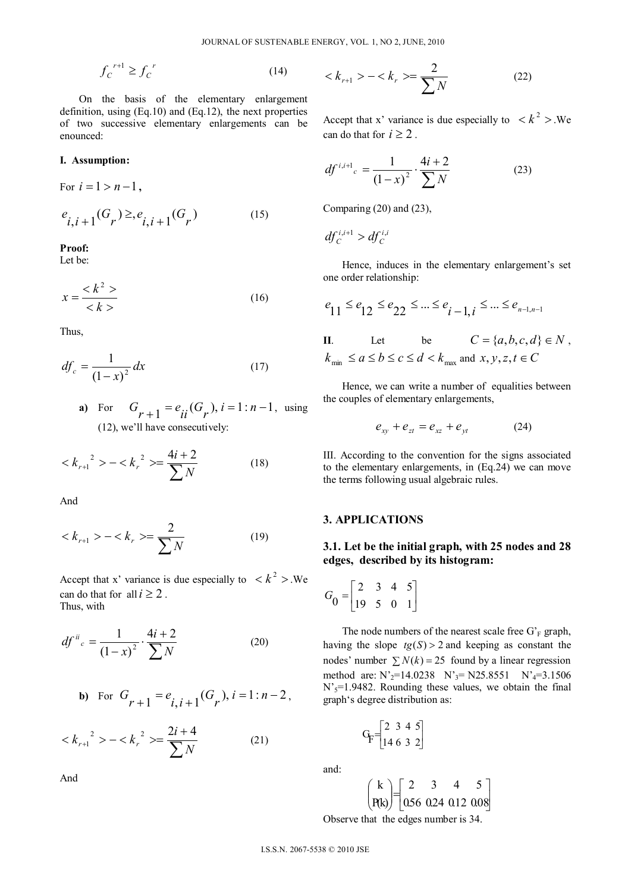$$
f_C^{\ r+1} \ge f_C^{\ r} \tag{14}
$$

On the basis of the elementary enlargement definition, using (Eq.10) and (Eq.12), the next properties of two successive elementary enlargements can be enounced:

#### **I. Assumption:**

For  $i = 1 > n - 1$ ,  $e_{i,i+1}(G_r) \geq e_{i,i+1}(G_r)$  (15)

**Proof:** 

Let be:

$$
x = \frac{\langle k^2 \rangle}{\langle k \rangle} \tag{16}
$$

Thus,

$$
df_c = \frac{1}{\left(1 - x\right)^2} dx \tag{17}
$$

**a**) For  $G_{r+1} = e_{ii}(G_r)$ ,  $i = 1:n-1$ , using (12), we'll have consecutively:

$$
\langle k_{r+1}^2 \rangle - \langle k_r^2 \rangle = \frac{4i+2}{\sum N} \tag{18}
$$

And

$$
\langle k_{r+1} \rangle - \langle k_r \rangle = \frac{2}{\sum N} \tag{19}
$$

Accept that x' variance is due especially to  $\langle k^2 \rangle$ .We can do that for all  $i \geq 2$ . Thus, with

$$
df^{ii}{}_{c} = \frac{1}{(1-x)^2} \cdot \frac{4i+2}{\sum N}
$$
 (20)

**b)** For 
$$
G_{r+1} = e_{i,i+1}(G_r)
$$
,  $i = 1 : n-2$ ,

$$
\langle k_{r+1}^{2} \rangle - \langle k_{r}^{2} \rangle = \frac{2i + 4}{\sum N} \tag{21}
$$

And

$$
\langle k_{r+1} \rangle - \langle k_r \rangle = \frac{2}{\sum N} \tag{22}
$$

Accept that x' variance is due especially to  $\langle k^2 \rangle$ . We can do that for  $i \geq 2$ .

$$
df^{i,i+1}{}_{c} = \frac{1}{(1-x)^2} \cdot \frac{4i+2}{\sum N}
$$
 (23)

Comparing (20) and (23),

$$
df_c^{i,i+1} > df_c^{i,i}
$$

Hence, induces in the elementary enlargement's set one order relationship:

$$
e_{11} \le e_{12} \le e_{22} \le \dots \le e_{i-1, i} \le \dots \le e_{n-1, n-1}
$$

II. Let be 
$$
C = \{a, b, c, d\} \in N
$$
,  
 $k_{\min} \le a \le b \le c \le d < k_{\max}$  and  $x, y, z, t \in C$ 

Hence, we can write a number of equalities between the couples of elementary enlargements,

$$
e_{xy} + e_{zt} = e_{xz} + e_{yt} \tag{24}
$$

III. According to the convention for the signs associated to the elementary enlargements, in (Eq.24) we can move the terms following usual algebraic rules.

## **3. APPLICATIONS**

## **3.1. Let be the initial graph, with 25 nodes and 28 edges, described by its histogram:**

$$
G_0 = \begin{bmatrix} 2 & 3 & 4 & 5 \\ 19 & 5 & 0 & 1 \end{bmatrix}
$$

The node numbers of the nearest scale free  $G_F^r$  graph, having the slope  $tg(S) > 2$  and keeping as constant the nodes' number  $\sum N(k) = 25$  found by a linear regression method are:  $N'_2$ =14.0238  $N'_3$ = N25.8551  $N'_4$ =3.1506  $N'_{5}=1.9482$ . Rounding these values, we obtain the final graph's degree distribution as:

$$
G_F = \begin{bmatrix} 2 & 3 & 4 & 5 \\ 14 & 6 & 3 & 2 \end{bmatrix}
$$

and:

$$
\begin{pmatrix} k \\ P(k) \end{pmatrix} = \begin{bmatrix} 2 & 3 & 4 & 5 \\ 0.56 & 0.24 & 0.12 & 0.08 \end{bmatrix}
$$

Observe that the edges number is 34.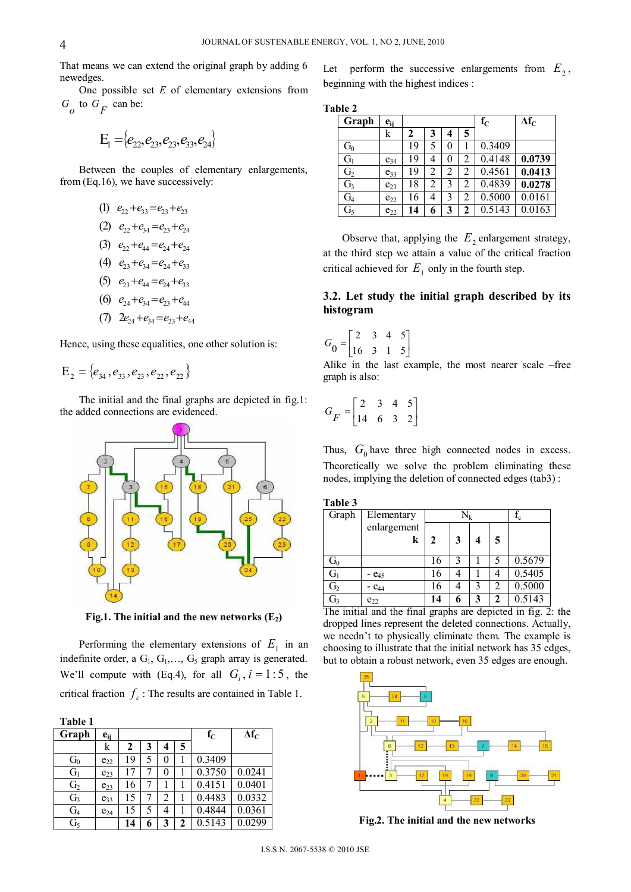That means we can extend the original graph by adding 6 newedges.

One possible set *E* of elementary extensions from  $G$  to  $G$ <sub>F</sub> can be:

$$
E_1 = \{e_{22}, e_{23}, e_{23}, e_{33}, e_{24}\}
$$

Between the couples of elementary enlargements, from (Eq.16), we have successively:

- (1)  $e_{22}+e_{33}=e_{23}+e_{23}$
- (2)  $e_{22}+e_{34}=e_{23}+e_{24}$

$$
(3) \quad e_{22}+e_{44}=e_{24}+e_{24}
$$

- (4)  $e_{23}+e_{34}=e_{24}+e_{33}$
- (5)  $e_{23}+e_{44}=e_{24}+e_{33}$
- (6)  $e_{24}+e_{34}=e_{23}+e_{44}$
- (7)  $2e_{24}+e_{34}=e_{23}+e_{44}$

Hence, using these equalities, one other solution is:

$$
\mathrm{E}_2 = \{e_{34}, e_{33}, e_{23}, e_{22}, e_{22}\}
$$

The initial and the final graphs are depicted in fig.1: the added connections are evidenced.



**Fig.1.** The initial and the new networks  $(E_2)$ 

Performing the elementary extensions of  $E<sub>1</sub>$  in an indefinite order, a  $G_1, G_1, \ldots, G_5$  graph array is generated. We'll compute with (Eq.4), for all  $G_i$ ,  $i = 1:5$ , the critical fraction  $f_c$ : The results are contained in Table 1.

| Table 1        |          |    |   |                |              |         |              |
|----------------|----------|----|---|----------------|--------------|---------|--------------|
| Graph          | $e_{ij}$ |    |   |                |              | $f_{C}$ | $\Delta f_C$ |
|                | k        | 2  | 3 | 4              | 5            |         |              |
| G <sub>0</sub> | $e_{22}$ | 19 | 5 | 0              |              | 0.3409  |              |
| G <sub>1</sub> | $e_{23}$ | 17 |   | 0              |              | 0.3750  | 0.0241       |
| G <sub>2</sub> | $e_{23}$ | 16 |   |                |              | 0.4151  | 0.0401       |
| G <sub>3</sub> | $e_{33}$ | 15 |   | $\overline{c}$ | 1            | 0.4483  | 0.0332       |
| G <sub>4</sub> | $e_{24}$ | 15 | 5 | 4              | 1            | 0.4844  | 0.0361       |
| G <sub>5</sub> |          | 14 | 6 | 3              | $\mathbf{2}$ | 0.5143  | 0.0299       |

Let perform the successive enlargements from  $E_2$ , beginning with the highest indices :

#### **Table 2**

| Graph          | $e_{ij}$ |    |                |                         |   | $f_{C}$ | $\Delta f_C$ |
|----------------|----------|----|----------------|-------------------------|---|---------|--------------|
|                | k        | 2  | 3              | $\overline{\mathbf{4}}$ | 5 |         |              |
| $G_0$          |          | 19 | 5              | 0                       |   | 0.3409  |              |
| $G_1$          | $e_{34}$ | 19 | 4              | 0                       | 2 | 0.4148  | 0.0739       |
| G <sub>2</sub> | $e_{33}$ | 19 | $\overline{c}$ | 2                       | 2 | 0.4561  | 0.0413       |
| G <sub>3</sub> | $e_{23}$ | 18 | $\overline{2}$ | 3                       | 2 | 0.4839  | 0.0278       |
| G <sub>4</sub> | $e_{22}$ | 16 | 4              | 3                       | 2 | 0.5000  | 0.0161       |
| G <sub>5</sub> | $e_{22}$ | 14 | 6              | 3                       | 2 | 0.5143  | 0.0163       |

Observe that, applying the  $E_2$  enlargement strategy, at the third step we attain a value of the critical fraction critical achieved for  $E_1$  only in the fourth step.

# **3.2. Let study the initial graph described by its histogram**

 $G_0 = \begin{bmatrix} 2 & 3 & 4 & 5 \\ 16 & 3 & 1 & 5 \end{bmatrix}$ 

Alike in the last example, the most nearer scale –free graph is also:

$$
G_F = \begin{bmatrix} 2 & 3 & 4 & 5 \\ 14 & 6 & 3 & 2 \end{bmatrix}
$$

Thus,  $G_0$  have three high connected nodes in excess. Theoretically we solve the problem eliminating these nodes, implying the deletion of connected edges (tab3) :

**Table 3** 

| Graph            | Elementary  |    | $\rm N_k$ | $f_c$ |   |        |
|------------------|-------------|----|-----------|-------|---|--------|
|                  | enlargement |    |           |       |   |        |
|                  | k           | 2  | 3         | 4     | 5 |        |
| $G_0$            |             | 16 | 3         |       | 5 | 0.5679 |
| $\overline{G_1}$ | $ e_{45}$   | 16 |           |       |   | 0.5405 |
| G <sub>2</sub>   | $ e_{44}$   | 16 |           | 3     | っ | 0.5000 |
| G <sub>3</sub>   | $e_{22}$    | 14 |           | 3     | າ | 0.5143 |

The initial and the final graphs are depicted in fig. 2: the dropped lines represent the deleted connections. Actually, we needn't to physically eliminate them. The example is choosing to illustrate that the initial network has 35 edges, but to obtain a robust network, even 35 edges are enough.



**Fig.2. The initial and the new networks**